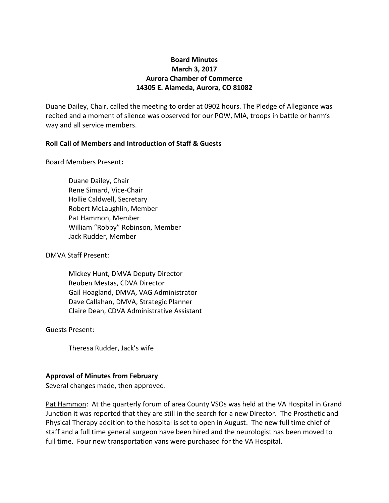# **Board Minutes March 3, 2017 Aurora Chamber of Commerce 14305 E. Alameda, Aurora, CO 81082**

Duane Dailey, Chair, called the meeting to order at 0902 hours. The Pledge of Allegiance was recited and a moment of silence was observed for our POW, MIA, troops in battle or harm's way and all service members.

## **Roll Call of Members and Introduction of Staff & Guests**

Board Members Present**:**

Duane Dailey, Chair Rene Simard, Vice-Chair Hollie Caldwell, Secretary Robert McLaughlin, Member Pat Hammon, Member William "Robby" Robinson, Member Jack Rudder, Member

DMVA Staff Present:

Mickey Hunt, DMVA Deputy Director Reuben Mestas, CDVA Director Gail Hoagland, DMVA, VAG Administrator Dave Callahan, DMVA, Strategic Planner Claire Dean, CDVA Administrative Assistant

Guests Present:

Theresa Rudder, Jack's wife

## **Approval of Minutes from February**

Several changes made, then approved.

Pat Hammon: At the quarterly forum of area County VSOs was held at the VA Hospital in Grand Junction it was reported that they are still in the search for a new Director. The Prosthetic and Physical Therapy addition to the hospital is set to open in August. The new full time chief of staff and a full time general surgeon have been hired and the neurologist has been moved to full time. Four new transportation vans were purchased for the VA Hospital.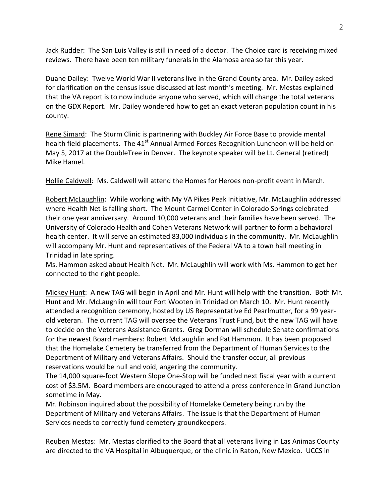Jack Rudder: The San Luis Valley is still in need of a doctor. The Choice card is receiving mixed reviews. There have been ten military funerals in the Alamosa area so far this year.

Duane Dailey: Twelve World War II veterans live in the Grand County area. Mr. Dailey asked for clarification on the census issue discussed at last month's meeting. Mr. Mestas explained that the VA report is to now include anyone who served, which will change the total veterans on the GDX Report. Mr. Dailey wondered how to get an exact veteran population count in his county.

Rene Simard: The Sturm Clinic is partnering with Buckley Air Force Base to provide mental health field placements. The 41<sup>st</sup> Annual Armed Forces Recognition Luncheon will be held on May 5, 2017 at the DoubleTree in Denver. The keynote speaker will be Lt. General (retired) Mike Hamel.

Hollie Caldwell: Ms. Caldwell will attend the Homes for Heroes non-profit event in March.

Robert McLaughlin: While working with My VA Pikes Peak Initiative, Mr. McLaughlin addressed where Health Net is falling short. The Mount Carmel Center in Colorado Springs celebrated their one year anniversary. Around 10,000 veterans and their families have been served. The University of Colorado Health and Cohen Veterans Network will partner to form a behavioral health center. It will serve an estimated 83,000 individuals in the community. Mr. McLaughlin will accompany Mr. Hunt and representatives of the Federal VA to a town hall meeting in Trinidad in late spring.

Ms. Hammon asked about Health Net. Mr. McLaughlin will work with Ms. Hammon to get her connected to the right people.

Mickey Hunt: A new TAG will begin in April and Mr. Hunt will help with the transition. Both Mr. Hunt and Mr. McLaughlin will tour Fort Wooten in Trinidad on March 10. Mr. Hunt recently attended a recognition ceremony, hosted by US Representative Ed Pearlmutter, for a 99 yearold veteran. The current TAG will oversee the Veterans Trust Fund, but the new TAG will have to decide on the Veterans Assistance Grants. Greg Dorman will schedule Senate confirmations for the newest Board members: Robert McLaughlin and Pat Hammon. It has been proposed that the Homelake Cemetery be transferred from the Department of Human Services to the Department of Military and Veterans Affairs. Should the transfer occur, all previous reservations would be null and void, angering the community.

The 14,000 square-foot Western Slope One-Stop will be funded next fiscal year with a current cost of \$3.5M. Board members are encouraged to attend a press conference in Grand Junction sometime in May.

Mr. Robinson inquired about the possibility of Homelake Cemetery being run by the Department of Military and Veterans Affairs. The issue is that the Department of Human Services needs to correctly fund cemetery groundkeepers.

Reuben Mestas: Mr. Mestas clarified to the Board that all veterans living in Las Animas County are directed to the VA Hospital in Albuquerque, or the clinic in Raton, New Mexico. UCCS in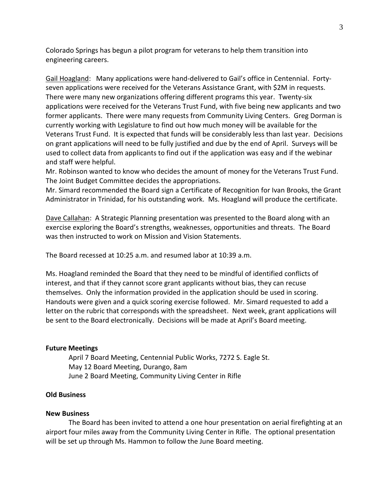Colorado Springs has begun a pilot program for veterans to help them transition into engineering careers.

Gail Hoagland: Many applications were hand-delivered to Gail's office in Centennial. Fortyseven applications were received for the Veterans Assistance Grant, with \$2M in requests. There were many new organizations offering different programs this year. Twenty-six applications were received for the Veterans Trust Fund, with five being new applicants and two former applicants. There were many requests from Community Living Centers. Greg Dorman is currently working with Legislature to find out how much money will be available for the Veterans Trust Fund. It is expected that funds will be considerably less than last year. Decisions on grant applications will need to be fully justified and due by the end of April. Surveys will be used to collect data from applicants to find out if the application was easy and if the webinar and staff were helpful.

Mr. Robinson wanted to know who decides the amount of money for the Veterans Trust Fund. The Joint Budget Committee decides the appropriations.

Mr. Simard recommended the Board sign a Certificate of Recognition for Ivan Brooks, the Grant Administrator in Trinidad, for his outstanding work. Ms. Hoagland will produce the certificate.

Dave Callahan: A Strategic Planning presentation was presented to the Board along with an exercise exploring the Board's strengths, weaknesses, opportunities and threats. The Board was then instructed to work on Mission and Vision Statements.

The Board recessed at 10:25 a.m. and resumed labor at 10:39 a.m.

Ms. Hoagland reminded the Board that they need to be mindful of identified conflicts of interest, and that if they cannot score grant applicants without bias, they can recuse themselves. Only the information provided in the application should be used in scoring. Handouts were given and a quick scoring exercise followed. Mr. Simard requested to add a letter on the rubric that corresponds with the spreadsheet. Next week, grant applications will be sent to the Board electronically. Decisions will be made at April's Board meeting.

#### **Future Meetings**

April 7 Board Meeting, Centennial Public Works, 7272 S. Eagle St. May 12 Board Meeting, Durango, 8am June 2 Board Meeting, Community Living Center in Rifle

### **Old Business**

#### **New Business**

The Board has been invited to attend a one hour presentation on aerial firefighting at an airport four miles away from the Community Living Center in Rifle. The optional presentation will be set up through Ms. Hammon to follow the June Board meeting.